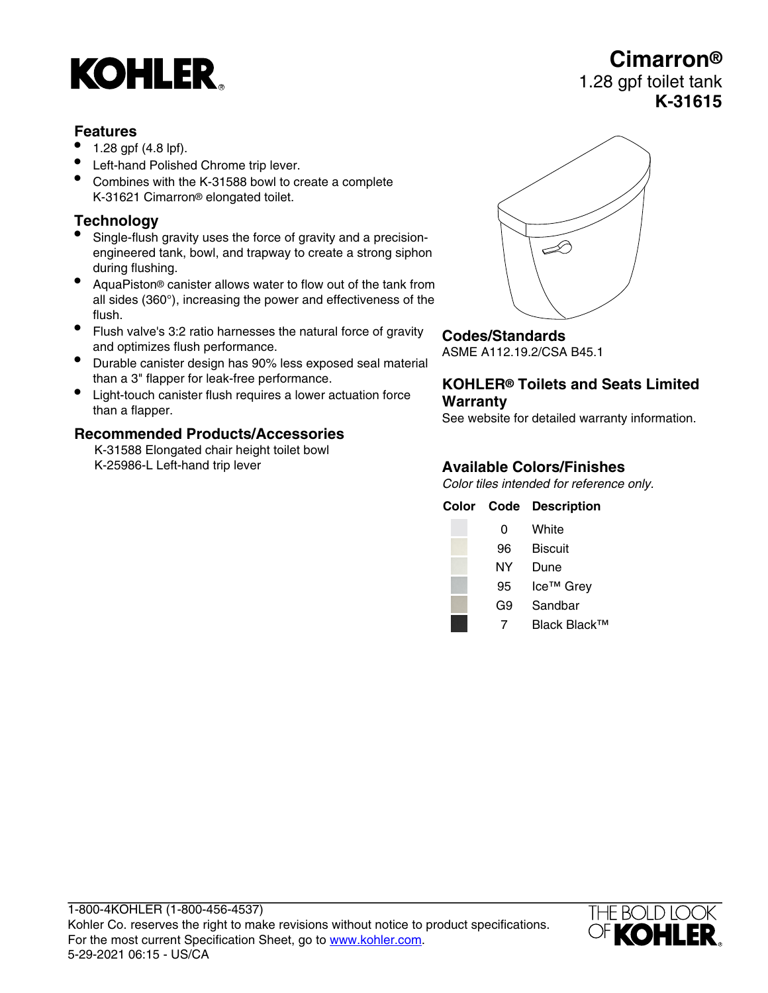# **KOHLER**

#### **Features**

- 1.28 gpf (4.8 lpf).
- Left-hand Polished Chrome trip lever.
- Combines with the K-31588 bowl to create a complete K-31621 Cimarron® elongated toilet.

### **Technology**

- Single-flush gravity uses the force of gravity and a precisionengineered tank, bowl, and trapway to create a strong siphon during flushing.
- AquaPiston® canister allows water to flow out of the tank from all sides (360°), increasing the power and effectiveness of the flush.
- Flush valve's 3:2 ratio harnesses the natural force of gravity and optimizes flush performance.
- Durable canister design has 90% less exposed seal material than a 3" flapper for leak-free performance.
- Light-touch canister flush requires a lower actuation force than a flapper.

#### **Recommended Products/Accessories**

K-31588 Elongated chair height toilet bowl K-25986-L Left-hand trip lever



## **Codes/Standards**

ASME A112.19.2/CSA B45.1

#### **KOHLER® Toilets and Seats Limited Warranty**

See website for detailed warranty information.

## **Available Colors/Finishes**

Color tiles intended for reference only.

|    | <b>Color Code Description</b> |
|----|-------------------------------|
| 0  | White                         |
| 96 | <b>Biscuit</b>                |
| NΥ | Dune                          |
| 95 | Ice <sup>™</sup> Grey         |
| G9 | Sandbar                       |
|    | Black Black™                  |



## **Cimarron®** 1.28 gpf toilet tank **K-31615**